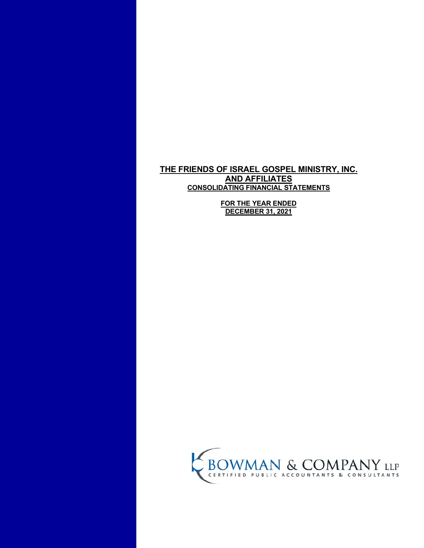# **THE FRIENDS OF ISRAEL GOSPEL MINISTRY, INC. AND AFFILIATES CONSOLIDATING FINANCIAL STATEMENTS**

**FOR THE YEAR ENDED DECEMBER 31, 2021**

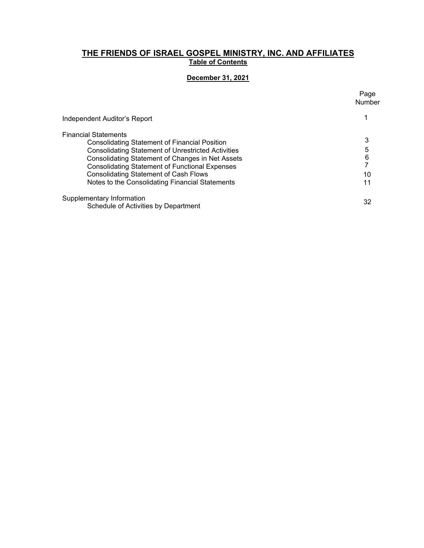# **THE FRIENDS OF ISRAEL GOSPEL MINISTRY, INC. AND AFFILIATES Table of Contents**

# **December 31, 2021**

|                                                                                                                                                                                                                                                                                                                                                                  | Page<br>Number          |
|------------------------------------------------------------------------------------------------------------------------------------------------------------------------------------------------------------------------------------------------------------------------------------------------------------------------------------------------------------------|-------------------------|
| Independent Auditor's Report                                                                                                                                                                                                                                                                                                                                     |                         |
| <b>Financial Statements</b><br><b>Consolidating Statement of Financial Position</b><br><b>Consolidating Statement of Unrestricted Activities</b><br>Consolidating Statement of Changes in Net Assets<br><b>Consolidating Statement of Functional Expenses</b><br><b>Consolidating Statement of Cash Flows</b><br>Notes to the Consolidating Financial Statements | 3<br>5<br>6<br>10<br>11 |
| Supplementary Information<br>Schedule of Activities by Department                                                                                                                                                                                                                                                                                                | 32                      |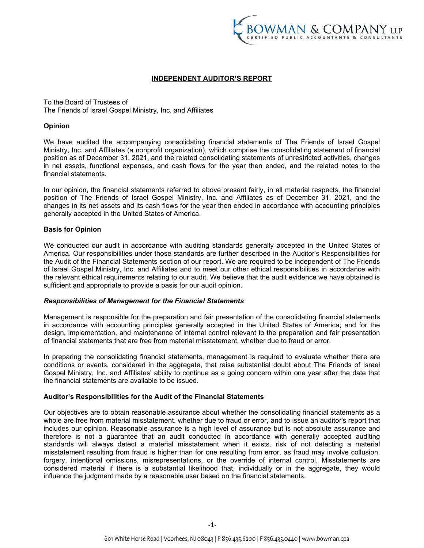

#### **INDEPENDENT AUDITOR'S REPORT**

To the Board of Trustees of The Friends of Israel Gospel Ministry, Inc. and Affiliates

#### **Opinion**

We have audited the accompanying consolidating financial statements of The Friends of Israel Gospel Ministry, Inc. and Affiliates (a nonprofit organization), which comprise the consolidating statement of financial position as of December 31, 2021, and the related consolidating statements of unrestricted activities, changes in net assets, functional expenses, and cash flows for the year then ended, and the related notes to the financial statements.

In our opinion, the financial statements referred to above present fairly, in all material respects, the financial position of The Friends of Israel Gospel Ministry, Inc. and Affiliates as of December 31, 2021, and the changes in its net assets and its cash flows for the year then ended in accordance with accounting principles generally accepted in the United States of America.

#### **Basis for Opinion**

We conducted our audit in accordance with auditing standards generally accepted in the United States of America. Our responsibilities under those standards are further described in the Auditor's Responsibilities for the Audit of the Financial Statements section of our report. We are required to be independent of The Friends of Israel Gospel Ministry, Inc. and Affiliates and to meet our other ethical responsibilities in accordance with the relevant ethical requirements relating to our audit. We believe that the audit evidence we have obtained is sufficient and appropriate to provide a basis for our audit opinion.

#### *Responsibilities of Management for the Financial Statements*

Management is responsible for the preparation and fair presentation of the consolidating financial statements in accordance with accounting principles generally accepted in the United States of America; and for the design, implementation, and maintenance of internal control relevant to the preparation and fair presentation of financial statements that are free from material misstatement, whether due to fraud or error.

In preparing the consolidating financial statements, management is required to evaluate whether there are conditions or events, considered in the aggregate, that raise substantial doubt about The Friends of Israel Gospel Ministry, Inc. and Affiliates' ability to continue as a going concern within one year after the date that the financial statements are available to be issued.

#### **Auditor's Responsibilities for the Audit of the Financial Statements**

Our objectives are to obtain reasonable assurance about whether the consolidating financial statements as a whole are free from material misstatement. whether due to fraud or error, and to issue an auditor's report that includes our opinion. Reasonable assurance is a high level of assurance but is not absolute assurance and therefore is not a guarantee that an audit conducted in accordance with generally accepted auditing standards will always detect a material misstatement when it exists. risk of not detecting a material misstatement resulting from fraud is higher than for one resulting from error, as fraud may involve collusion, forgery, intentional omissions, misrepresentations, or the override of internal control. Misstatements are considered material if there is a substantial likelihood that, individually or in the aggregate, they would influence the judgment made by a reasonable user based on the financial statements.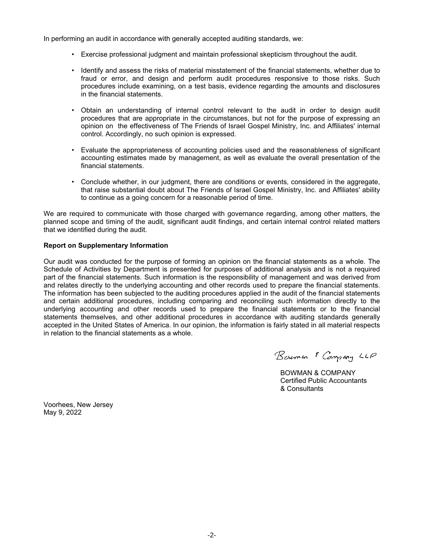In performing an audit in accordance with generally accepted auditing standards, we:

- Exercise professional judgment and maintain professional skepticism throughout the audit.
- Identify and assess the risks of material misstatement of the financial statements, whether due to fraud or error, and design and perform audit procedures responsive to those risks. Such procedures include examining, on a test basis, evidence regarding the amounts and disclosures in the financial statements.
- Obtain an understanding of internal control relevant to the audit in order to design audit procedures that are appropriate in the circumstances, but not for the purpose of expressing an opinion on the effectiveness of The Friends of Israel Gospel Ministry, Inc. and Affiliates' internal control. Accordingly, no such opinion is expressed.
- Evaluate the appropriateness of accounting policies used and the reasonableness of significant accounting estimates made by management, as well as evaluate the overall presentation of the financial statements.
- Conclude whether, in our judgment, there are conditions or events, considered in the aggregate, that raise substantial doubt about The Friends of Israel Gospel Ministry, Inc. and Affiliates' ability to continue as a going concern for a reasonable period of time.

We are required to communicate with those charged with governance regarding, among other matters, the planned scope and timing of the audit, significant audit findings, and certain internal control related matters that we identified during the audit.

### **Report on Supplementary Information**

Our audit was conducted for the purpose of forming an opinion on the financial statements as a whole. The Schedule of Activities by Department is presented for purposes of additional analysis and is not a required part of the financial statements. Such information is the responsibility of management and was derived from and relates directly to the underlying accounting and other records used to prepare the financial statements. The information has been subjected to the auditing procedures applied in the audit of the financial statements and certain additional procedures, including comparing and reconciling such information directly to the underlying accounting and other records used to prepare the financial statements or to the financial statements themselves, and other additional procedures in accordance with auditing standards generally accepted in the United States of America. In our opinion, the information is fairly stated in all material respects in relation to the financial statements as a whole.

Bouman & Compay LLP

BOWMAN & COMPANY Certified Public Accountants & Consultants

Voorhees, New Jersey May 9, 2022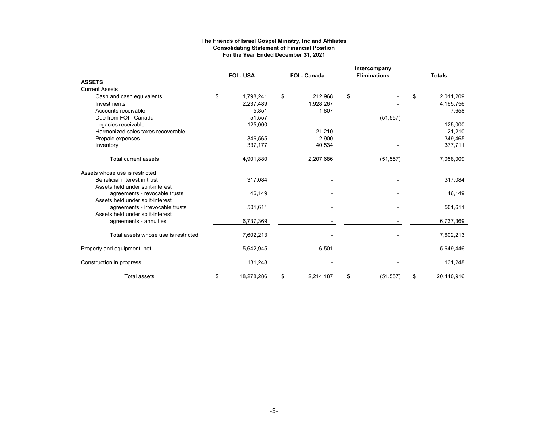#### **For the Year Ended December 31, 2021 Consolidating Statement of Financial Position The Friends of Israel Gospel Ministry, Inc and Affiliates**

|                                      |                  |                 | Intercompany        |                  |
|--------------------------------------|------------------|-----------------|---------------------|------------------|
|                                      | <b>FOI - USA</b> | FOI - Canada    | <b>Eliminations</b> | <b>Totals</b>    |
| <b>ASSETS</b>                        |                  |                 |                     |                  |
| <b>Current Assets</b>                |                  |                 |                     |                  |
| Cash and cash equivalents            | \$<br>1,798,241  | \$<br>212,968   | \$                  | \$<br>2,011,209  |
| Investments                          | 2,237,489        | 1,928,267       |                     | 4,165,756        |
| Accounts receivable                  | 5.851            | 1,807           |                     | 7,658            |
| Due from FOI - Canada                | 51,557           |                 | (51, 557)           |                  |
| Legacies receivable                  | 125,000          |                 |                     | 125,000          |
| Harmonized sales taxes recoverable   |                  | 21,210          |                     | 21,210           |
| Prepaid expenses                     | 346,565          | 2,900           |                     | 349,465          |
| Inventory                            | 337,177          | 40,534          |                     | 377,711          |
| Total current assets                 | 4,901,880        | 2,207,686       | (51, 557)           | 7,058,009        |
| Assets whose use is restricted       |                  |                 |                     |                  |
| Beneficial interest in trust         | 317,084          |                 |                     | 317,084          |
| Assets held under split-interest     |                  |                 |                     |                  |
| agreements - revocable trusts        | 46,149           |                 |                     | 46,149           |
| Assets held under split-interest     |                  |                 |                     |                  |
| agreements - irrevocable trusts      | 501,611          |                 |                     | 501,611          |
| Assets held under split-interest     |                  |                 |                     |                  |
| agreements - annuities               | 6,737,369        |                 |                     | 6,737,369        |
| Total assets whose use is restricted | 7,602,213        |                 |                     | 7,602,213        |
| Property and equipment, net          | 5,642,945        | 6,501           |                     | 5,649,446        |
| Construction in progress             | 131,248          |                 |                     | 131,248          |
| <b>Total assets</b>                  | \$<br>18,278,286 | \$<br>2,214,187 | \$<br>(51, 557)     | \$<br>20,440,916 |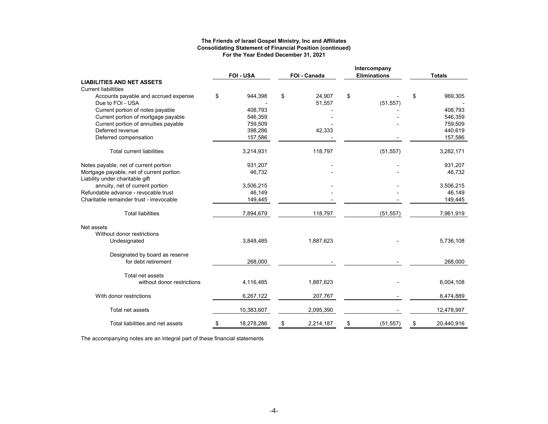#### **The Friends of Israel Gospel Ministry, Inc and Affiliates Consolidating Statement of Financial Position (continued) For the Year Ended December 31, 2021**

|                                                                             | <b>FOI - USA</b> | FOI - Canada    | Intercompany<br><b>Eliminations</b> | <b>Totals</b>    |
|-----------------------------------------------------------------------------|------------------|-----------------|-------------------------------------|------------------|
| <b>LIABILITIES AND NET ASSETS</b>                                           |                  |                 |                                     |                  |
| <b>Current liabiltities</b>                                                 |                  |                 |                                     |                  |
| Accounts payable and accrued expense                                        | \$<br>944,398    | \$<br>24,907    | \$                                  | \$<br>969,305    |
| Due to FOI - USA                                                            |                  | 51,557          | (51, 557)                           |                  |
| Current portion of notes payable                                            | 408,793          |                 |                                     | 408,793          |
| Current portion of mortgage payable                                         | 546,359          |                 |                                     | 546,359          |
| Current portion of annuities payable                                        | 759,509          |                 |                                     | 759,509          |
| Deferred revenue                                                            | 398,286          | 42,333          |                                     | 440,619          |
| Deferred compensation                                                       | 157,586          |                 |                                     | 157,586          |
| <b>Total current liabilities</b>                                            | 3,214,931        | 118,797         | (51, 557)                           | 3,282,171        |
| Notes payable, net of current portion                                       | 931,207          |                 |                                     | 931,207          |
| Mortgage payable, net of current portion<br>Liability under charitable gift | 46,732           |                 |                                     | 46,732           |
| annuity, net of current portion                                             | 3,506,215        |                 |                                     | 3,506,215        |
| Refundable advance - revocable trust                                        | 46,149           |                 |                                     | 46,149           |
| Charitable remainder trust - irrevocable                                    | 149,445          |                 |                                     | 149,445          |
| <b>Total liabilities</b>                                                    | 7,894,679        | 118,797         | (51, 557)                           | 7,961,919        |
| Net assets                                                                  |                  |                 |                                     |                  |
| Without donor restrictions                                                  |                  |                 |                                     |                  |
| Undesignated                                                                | 3,848,485        | 1,887,623       |                                     | 5,736,108        |
| Designated by board as reserve                                              |                  |                 |                                     |                  |
| for debt retirement                                                         | 268,000          |                 |                                     | 268,000          |
| Total net assets                                                            |                  |                 |                                     |                  |
| without donor restrictions                                                  | 4,116,485        | 1,887,623       |                                     | 6,004,108        |
| With donor restrictions                                                     | 6,267,122        | 207,767         |                                     | 6,474,889        |
| Total net assets                                                            | 10,383,607       | 2,095,390       |                                     | 12,478,997       |
| Total liabilities and net assets                                            | \$<br>18,278,286 | \$<br>2,214,187 | \$<br>(51, 557)                     | \$<br>20,440,916 |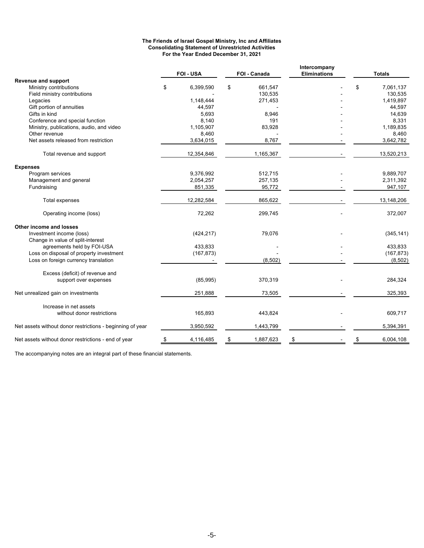#### **The Friends of Israel Gospel Ministry, Inc and Affiliates Consolidating Statement of Unrestricted Activities For the Year Ended December 31, 2021**

|                                                           | <b>FOI - USA</b> | FOI - Canada    | Intercompany<br><b>Eliminations</b> | <b>Totals</b>   |
|-----------------------------------------------------------|------------------|-----------------|-------------------------------------|-----------------|
| Revenue and support                                       |                  |                 |                                     |                 |
| Ministry contributions                                    | \$<br>6,399,590  | \$<br>661,547   |                                     | \$<br>7,061,137 |
| Field ministry contributions                              |                  | 130,535         |                                     | 130,535         |
| Legacies                                                  | 1,148,444        | 271,453         |                                     | 1,419,897       |
| Gift portion of annuities                                 | 44,597           |                 |                                     | 44,597          |
| Gifts in kind                                             | 5,693            | 8,946           |                                     | 14,639          |
| Conference and special function                           | 8,140            | 191             |                                     | 8,331           |
| Ministry, publications, audio, and video                  | 1,105,907        | 83,928          |                                     | 1,189,835       |
| Other revenue                                             | 8,460            |                 |                                     | 8,460           |
| Net assets released from restriction                      | 3,634,015        | 8,767           |                                     | 3,642,782       |
| Total revenue and support                                 | 12,354,846       | 1,165,367       |                                     | 13,520,213      |
| <b>Expenses</b>                                           |                  |                 |                                     |                 |
| Program services                                          | 9,376,992        | 512,715         |                                     | 9,889,707       |
| Management and general                                    | 2,054,257        | 257,135         |                                     | 2,311,392       |
| Fundraising                                               | 851,335          | 95,772          |                                     | 947,107         |
| Total expenses                                            | 12,282,584       | 865,622         |                                     | 13,148,206      |
| Operating income (loss)                                   | 72,262           | 299,745         |                                     | 372,007         |
| Other income and losses                                   |                  |                 |                                     |                 |
| Investment income (loss)                                  | (424, 217)       | 79,076          |                                     | (345, 141)      |
| Change in value of split-interest                         |                  |                 |                                     |                 |
| agreements held by FOI-USA                                | 433,833          |                 |                                     | 433,833         |
| Loss on disposal of property investment                   | (167, 873)       |                 |                                     | (167, 873)      |
| Loss on foreign currency translation                      |                  | (8,502)         |                                     | (8,502)         |
| Excess (deficit) of revenue and                           |                  |                 |                                     |                 |
| support over expenses                                     | (85,995)         | 370,319         |                                     | 284,324         |
| Net unrealized gain on investments                        | 251,888          | 73,505          |                                     | 325,393         |
| Increase in net assets                                    |                  |                 |                                     |                 |
| without donor restrictions                                | 165,893          | 443,824         |                                     | 609,717         |
| Net assets without donor restrictions - beginning of year | 3,950,592        | 1,443,799       |                                     | 5,394,391       |
| Net assets without donor restrictions - end of year       | \$<br>4,116,485  | \$<br>1,887,623 | \$                                  | \$<br>6,004,108 |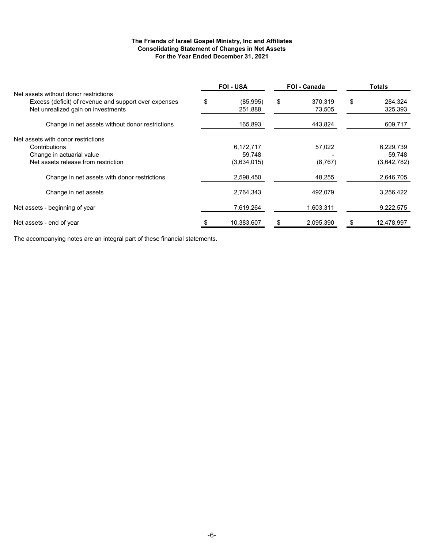#### **The Friends of Israel Gospel Ministry, Inc and Affiliates Consolidating Statement of Changes in Net Assets For the Year Ended December 31, 2021**

|                                                                                                                                      | <b>FOI - USA</b>                   | <b>FOI - Canada</b>     | <b>Totals</b>                      |
|--------------------------------------------------------------------------------------------------------------------------------------|------------------------------------|-------------------------|------------------------------------|
| Net assets without donor restrictions<br>Excess (deficit) of revenue and support over expenses<br>Net unrealized gain on investments | \$<br>(85,995)<br>251,888          | \$<br>370,319<br>73,505 | \$<br>284,324<br>325,393           |
| Change in net assets without donor restrictions                                                                                      | 165,893                            | 443,824                 | 609,717                            |
| Net assets with donor restrictions<br>Contributions<br>Change in actuarial value<br>Net assets release from restriction              | 6,172,717<br>59,748<br>(3,634,015) | 57,022<br>(8, 767)      | 6,229,739<br>59,748<br>(3,642,782) |
| Change in net assets with donor restrictions                                                                                         | 2,598,450                          | 48,255                  | 2,646,705                          |
| Change in net assets                                                                                                                 | 2,764,343                          | 492,079                 | 3,256,422                          |
| Net assets - beginning of year                                                                                                       | 7,619,264                          | 1,603,311               | 9,222,575                          |
| Net assets - end of year                                                                                                             | 10,383,607                         | \$<br>2,095,390         | 12,478,997                         |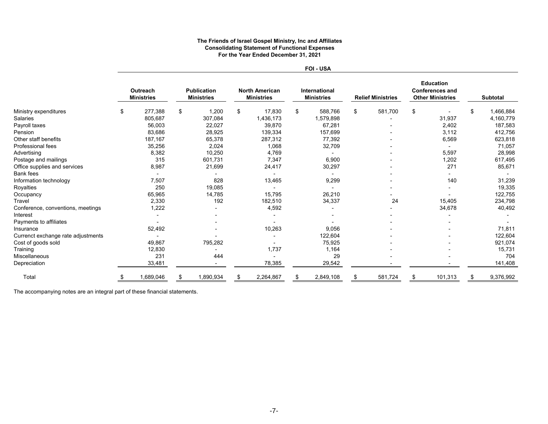#### **The Friends of Israel Gospel Ministry, Inc and Affiliates Consolidating Statement of Functional Expenses For the Year Ended December 31, 2021**

|                                    | Outreach<br><b>Ministries</b> | <b>Publication</b><br><b>Ministries</b> |    | <b>North American</b><br><b>Ministries</b> | <b>International</b><br><b>Ministries</b> | <b>Relief Ministries</b> |    | <b>Education</b><br><b>Conferences and</b><br><b>Other Ministries</b> | <b>Subtotal</b> |
|------------------------------------|-------------------------------|-----------------------------------------|----|--------------------------------------------|-------------------------------------------|--------------------------|----|-----------------------------------------------------------------------|-----------------|
| Ministry expenditures              | \$<br>277,388                 | \$<br>1,200                             | \$ | 17,830                                     | \$<br>588,766                             | \$<br>581,700            | \$ |                                                                       | \$<br>1,466,884 |
| <b>Salaries</b>                    | 805,687                       | 307,084                                 |    | 1,436,173                                  | 1,579,898                                 |                          |    | 31,937                                                                | 4,160,779       |
| Payroll taxes                      | 56,003                        | 22,027                                  |    | 39,870                                     | 67,281                                    |                          |    | 2,402                                                                 | 187,583         |
| Pension                            | 83,686                        | 28,925                                  |    | 139,334                                    | 157,699                                   |                          |    | 3,112                                                                 | 412,756         |
| Other staff benefits               | 187,167                       | 65,378                                  |    | 287,312                                    | 77,392                                    |                          |    | 6,569                                                                 | 623,818         |
| Professional fees                  | 35,256                        | 2,024                                   |    | 1,068                                      | 32,709                                    |                          |    |                                                                       | 71,057          |
| Advertising                        | 8,382                         | 10,250                                  |    | 4,769                                      |                                           |                          |    | 5,597                                                                 | 28,998          |
| Postage and mailings               | 315                           | 601,731                                 |    | 7,347                                      | 6,900                                     |                          |    | 1,202                                                                 | 617,495         |
| Office supplies and services       | 8,987                         | 21,699                                  |    | 24,417                                     | 30,297                                    |                          |    | 271                                                                   | 85,671          |
| Bank fees                          |                               |                                         |    |                                            |                                           |                          |    |                                                                       |                 |
| Information technology             | 7,507                         | 828                                     |    | 13,465                                     | 9,299                                     |                          |    | 140                                                                   | 31,239          |
| Royalties                          | 250                           | 19,085                                  |    |                                            |                                           |                          |    |                                                                       | 19,335          |
| Occupancy                          | 65,965                        | 14,785                                  |    | 15,795                                     | 26,210                                    |                          |    |                                                                       | 122,755         |
| Travel                             | 2,330                         | 192                                     |    | 182,510                                    | 34,337                                    | 24                       |    | 15,405                                                                | 234,798         |
| Conference, conventions, meetings  | 1,222                         |                                         |    | 4,592                                      |                                           |                          |    | 34,678                                                                | 40,492          |
| Interest                           |                               |                                         |    |                                            |                                           |                          |    |                                                                       |                 |
| Payments to affiliates             |                               |                                         |    |                                            |                                           |                          |    |                                                                       |                 |
| Insurance                          | 52,492                        |                                         |    | 10,263                                     | 9,056                                     |                          |    |                                                                       | 71,811          |
| Currenct exchange rate adjustments |                               |                                         |    |                                            | 122,604                                   |                          |    |                                                                       | 122,604         |
| Cost of goods sold                 | 49,867                        | 795,282                                 |    |                                            | 75,925                                    |                          |    |                                                                       | 921,074         |
| Training                           | 12,830                        |                                         |    | 1,737                                      | 1,164                                     |                          |    |                                                                       | 15,731          |
| Miscellaneous                      | 231                           | 444                                     |    |                                            | 29                                        |                          |    |                                                                       | 704             |
| Depreciation                       | 33,481                        |                                         |    | 78,385                                     | 29,542                                    |                          |    |                                                                       | 141,408         |
| Total                              | 1,689,046                     | \$<br>1,890,934                         | ß. | 2,264,867                                  | \$<br>2,849,108                           | \$<br>581,724            | S  | 101,313                                                               | 9,376,992       |

**FOI - USA**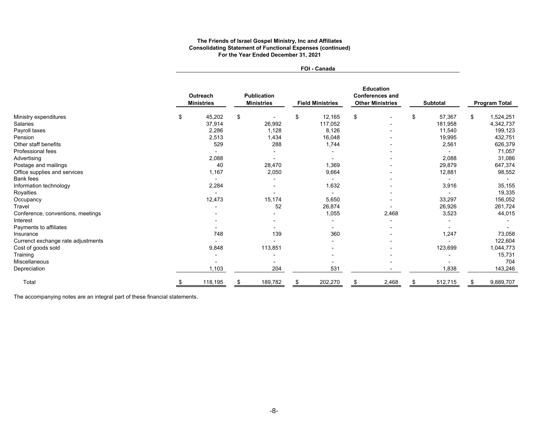#### **The Friends of Israel Gospel Ministry, Inc and Affiliates Consolidating Statement of Functional Expenses (continued) For the Year Ended December 31, 2021**

**FOI - Canada**

|                                    | Outreach<br><b>Ministries</b> | <b>Publication</b><br><b>Ministries</b> | <b>Field Ministries</b>  | <b>Education</b><br><b>Conferences and</b><br><b>Other Ministries</b> | Subtotal     | <b>Program Total</b> |
|------------------------------------|-------------------------------|-----------------------------------------|--------------------------|-----------------------------------------------------------------------|--------------|----------------------|
| Ministry expenditures              | \$<br>45,202                  | \$                                      | \$<br>12,165             | \$                                                                    | \$<br>57,367 | \$<br>1,524,251      |
| <b>Salaries</b>                    | 37,914                        | 26,992                                  | 117,052                  |                                                                       | 181,958      | 4,342,737            |
| Payroll taxes                      | 2,286                         | 1,128                                   | 8,126                    |                                                                       | 11,540       | 199,123              |
| Pension                            | 2,513                         | 1,434                                   | 16,048                   |                                                                       | 19,995       | 432,751              |
| Other staff benefits               | 529                           | 288                                     | 1,744                    |                                                                       | 2,561        | 626,379              |
| Professional fees                  |                               |                                         |                          |                                                                       |              | 71,057               |
| Advertising                        | 2,088                         |                                         |                          |                                                                       | 2,088        | 31,086               |
| Postage and mailings               | 40                            | 28,470                                  | 1,369                    |                                                                       | 29,879       | 647,374              |
| Office supplies and services       | 1,167                         | 2,050                                   | 9,664                    |                                                                       | 12,881       | 98,552               |
| <b>Bank</b> fees                   |                               |                                         | $\overline{\phantom{a}}$ |                                                                       |              |                      |
| Information technology             | 2,284                         |                                         | 1,632                    |                                                                       | 3,916        | 35,155               |
| Royalties                          |                               |                                         |                          |                                                                       |              | 19,335               |
| Occupancy                          | 12,473                        | 15,174                                  | 5,650                    |                                                                       | 33,297       | 156,052              |
| Travel                             |                               | 52                                      | 26,874                   |                                                                       | 26,926       | 261,724              |
| Conference, conventions, meetings  |                               |                                         | 1,055                    | 2,468                                                                 | 3,523        | 44,015               |
| Interest                           |                               |                                         |                          |                                                                       |              |                      |
| Payments to affiliates             |                               |                                         |                          |                                                                       |              |                      |
| Insurance                          | 748                           | 139                                     | 360                      |                                                                       | 1,247        | 73,058               |
| Currenct exchange rate adjustments |                               |                                         |                          |                                                                       |              | 122,604              |
| Cost of goods sold                 | 9,848                         | 113,851                                 |                          |                                                                       | 123,699      | 1,044,773            |
| Training                           |                               |                                         |                          |                                                                       |              | 15,731               |
| Miscellaneous                      |                               |                                         |                          |                                                                       |              | 704                  |
| Depreciation                       | 1,103                         | 204                                     | 531                      |                                                                       | 1,838        | 143,246              |
| Total                              | 118,195                       | 189,782                                 | 202,270                  | 2,468                                                                 | 512,715      | \$<br>9,889,707      |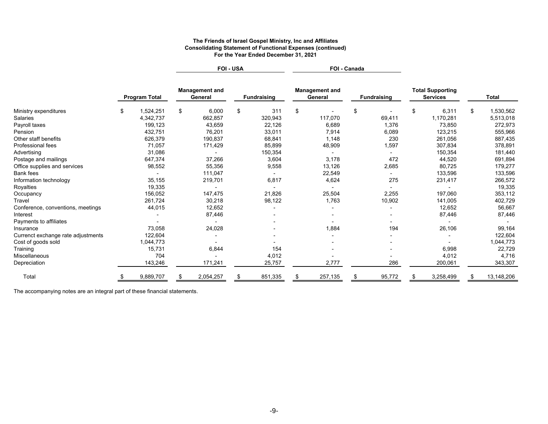#### **The Friends of Israel Gospel Ministry, Inc and Affiliates Consolidating Statement of Functional Expenses (continued) For the Year Ended December 31, 2021**

**FOI - USA FOI - Canada**

|                                    | <b>Program Total</b> | <b>Management and</b><br>General | <b>Fundraising</b> | <b>Management and</b><br>General | <b>Fundraising</b> | <b>Total Supporting</b><br><b>Services</b> | <b>Total</b>    |
|------------------------------------|----------------------|----------------------------------|--------------------|----------------------------------|--------------------|--------------------------------------------|-----------------|
| Ministry expenditures              | \$<br>1,524,251      | \$<br>6,000                      | \$<br>311          | \$                               | \$                 | \$<br>6,311                                | \$<br>1,530,562 |
| <b>Salaries</b>                    | 4,342,737            | 662,857                          | 320,943            | 117,070                          | 69,411             | 1,170,281                                  | 5,513,018       |
| Payroll taxes                      | 199,123              | 43,659                           | 22,126             | 6,689                            | 1,376              | 73,850                                     | 272,973         |
| Pension                            | 432,751              | 76,201                           | 33,011             | 7,914                            | 6,089              | 123,215                                    | 555,966         |
| Other staff benefits               | 626,379              | 190,837                          | 68,841             | 1,148                            | 230                | 261,056                                    | 887,435         |
| Professional fees                  | 71,057               | 171,429                          | 85,899             | 48,909                           | 1,597              | 307,834                                    | 378,891         |
| Advertising                        | 31,086               |                                  | 150,354            |                                  |                    | 150,354                                    | 181,440         |
| Postage and mailings               | 647,374              | 37,266                           | 3,604              | 3,178                            | 472                | 44,520                                     | 691,894         |
| Office supplies and services       | 98,552               | 55,356                           | 9,558              | 13,126                           | 2,685              | 80,725                                     | 179,277         |
| <b>Bank fees</b>                   |                      | 111,047                          |                    | 22,549                           |                    | 133,596                                    | 133,596         |
| Information technology             | 35,155               | 219,701                          | 6,817              | 4,624                            | 275                | 231,417                                    | 266,572         |
| Royalties                          | 19,335               |                                  |                    |                                  |                    |                                            | 19,335          |
| Occupancy                          | 156,052              | 147,475                          | 21,826             | 25,504                           | 2,255              | 197,060                                    | 353,112         |
| Travel                             | 261,724              | 30,218                           | 98,122             | 1,763                            | 10,902             | 141,005                                    | 402,729         |
| Conference, conventions, meetings  | 44,015               | 12,652                           |                    |                                  |                    | 12,652                                     | 56,667          |
| Interest                           |                      | 87,446                           |                    |                                  |                    | 87,446                                     | 87,446          |
| Payments to affiliates             |                      |                                  |                    |                                  |                    |                                            |                 |
| Insurance                          | 73,058               | 24,028                           |                    | 1,884                            | 194                | 26,106                                     | 99,164          |
| Currenct exchange rate adjustments | 122,604              |                                  |                    |                                  |                    |                                            | 122,604         |
| Cost of goods sold                 | 1,044,773            |                                  |                    |                                  |                    |                                            | 1,044,773       |
| Training                           | 15,731               | 6,844                            | 154                |                                  |                    | 6,998                                      | 22,729          |
| <b>Miscellaneous</b>               | 704                  |                                  | 4,012              |                                  |                    | 4,012                                      | 4,716           |
| Depreciation                       | 143,246              | 171,241                          | 25,757             | 2,777                            | 286                | 200,061                                    | 343,307         |
| Total                              | 9,889,707            | 2,054,257                        | 851,335            | 257,135                          | 95,772             | 3,258,499                                  | 13,148,206      |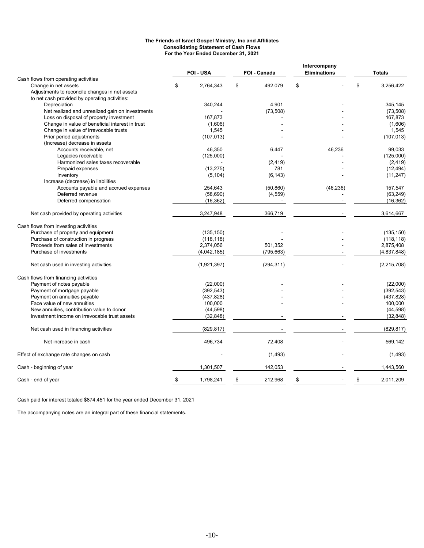#### **For the Year Ended December 31, 2021 Consolidating Statement of Cash Flows The Friends of Israel Gospel Ministry, Inc and Affiliates**

|                                                                        | <b>FOI - USA</b> | FOI - Canada  | Intercompany<br><b>Eliminations</b> | <b>Totals</b>   |
|------------------------------------------------------------------------|------------------|---------------|-------------------------------------|-----------------|
| Cash flows from operating activities                                   |                  |               |                                     | \$              |
| Change in net assets<br>Adjustments to reconcile changes in net assets | \$<br>2,764,343  | \$<br>492,079 | \$                                  | 3,256,422       |
| to net cash provided by operating activities:                          |                  |               |                                     |                 |
| Depreciation                                                           | 340,244          | 4,901         |                                     | 345,145         |
| Net realized and unrealized gain on investments                        |                  | (73, 508)     |                                     | (73, 508)       |
| Loss on disposal of property investment                                | 167,873          |               |                                     | 167,873         |
| Change in value of beneficial interest in trust                        | (1,606)          |               |                                     | (1,606)         |
| Change in value of irrevocable trusts                                  | 1,545            |               |                                     | 1,545           |
| Prior period adjustments                                               | (107, 013)       |               |                                     | (107, 013)      |
| (Increase) decrease in assets                                          |                  |               |                                     |                 |
| Accounts receivable, net                                               | 46,350           | 6,447         | 46,236                              | 99,033          |
| Legacies receivable                                                    | (125,000)        |               |                                     | (125,000)       |
| Harmonized sales taxes recoverable                                     |                  | (2, 419)      |                                     | (2, 419)        |
| Prepaid expenses                                                       | (13, 275)        | 781           |                                     | (12, 494)       |
| Inventory                                                              | (5, 104)         | (6, 143)      |                                     | (11, 247)       |
| Increase (decrease) in liabilities                                     |                  |               |                                     |                 |
| Accounts payable and accrued expenses                                  | 254,643          | (50, 860)     | (46, 236)                           | 157,547         |
| Deferred revenue                                                       | (58, 690)        | (4, 559)      |                                     | (63, 249)       |
| Deferred compensation                                                  | (16, 362)        |               |                                     | (16, 362)       |
| Net cash provided by operating activities                              | 3,247,948        | 366,719       |                                     | 3,614,667       |
| Cash flows from investing activities                                   |                  |               |                                     |                 |
| Purchase of property and equipment                                     | (135, 150)       |               |                                     | (135, 150)      |
| Purchase of construction in progress                                   | (118, 118)       |               |                                     | (118, 118)      |
| Proceeds from sales of investments                                     | 2,374,056        | 501,352       |                                     | 2,875,408       |
| Purchase of investments                                                | (4,042,185)      | (795, 663)    |                                     | (4,837,848)     |
| Net cash used in investing activities                                  | (1, 921, 397)    | (294, 311)    |                                     | (2, 215, 708)   |
| Cash flows from financing activities                                   |                  |               |                                     |                 |
| Payment of notes payable                                               | (22,000)         |               |                                     | (22,000)        |
| Payment of mortgage payable                                            | (392, 543)       |               |                                     | (392, 543)      |
| Payment on annuities payable                                           | (437, 828)       |               |                                     | (437, 828)      |
| Face value of new annuities                                            | 100,000          |               |                                     | 100,000         |
| New annuities, contribution value to donor                             | (44, 598)        |               |                                     | (44, 598)       |
| Investment income on irrevocable trust assets                          | (32, 848)        |               |                                     | (32, 848)       |
| Net cash used in financing activities                                  | (829, 817)       |               |                                     | (829, 817)      |
| Net increase in cash                                                   | 496,734          | 72,408        |                                     | 569,142         |
| Effect of exchange rate changes on cash                                |                  | (1, 493)      |                                     | (1, 493)        |
| Cash - beginning of year                                               | 1,301,507        | 142,053       |                                     | 1,443,560       |
| Cash - end of year                                                     | \$<br>1,798,241  | \$<br>212,968 | \$                                  | \$<br>2,011,209 |

Cash paid for interest totaled \$874,451 for the year ended December 31, 2021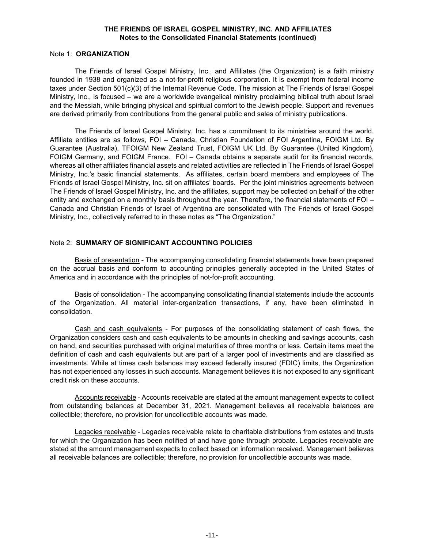## Note 1: **ORGANIZATION**

The Friends of Israel Gospel Ministry, Inc., and Affiliates (the Organization) is a faith ministry founded in 1938 and organized as a not-for-profit religious corporation. It is exempt from federal income taxes under Section 501(c)(3) of the Internal Revenue Code. The mission at The Friends of Israel Gospel Ministry, Inc., is focused – we are a worldwide evangelical ministry proclaiming biblical truth about Israel and the Messiah, while bringing physical and spiritual comfort to the Jewish people. Support and revenues are derived primarily from contributions from the general public and sales of ministry publications.

The Friends of Israel Gospel Ministry, Inc. has a commitment to its ministries around the world. Affiliate entities are as follows, FOI – Canada, Christian Foundation of FOI Argentina, FOIGM Ltd. By Guarantee (Australia), TFOIGM New Zealand Trust, FOIGM UK Ltd. By Guarantee (United Kingdom), FOIGM Germany, and FOIGM France. FOI – Canada obtains a separate audit for its financial records, whereas all other affiliates financial assets and related activities are reflected in The Friends of Israel Gospel Ministry, Inc.'s basic financial statements. As affiliates, certain board members and employees of The Friends of Israel Gospel Ministry, Inc. sit on affiliates' boards. Per the joint ministries agreements between The Friends of Israel Gospel Ministry, Inc. and the affiliates, support may be collected on behalf of the other entity and exchanged on a monthly basis throughout the year. Therefore, the financial statements of FOI – Canada and Christian Friends of Israel of Argentina are consolidated with The Friends of Israel Gospel Ministry, Inc., collectively referred to in these notes as "The Organization."

## Note 2: **SUMMARY OF SIGNIFICANT ACCOUNTING POLICIES**

Basis of presentation - The accompanying consolidating financial statements have been prepared on the accrual basis and conform to accounting principles generally accepted in the United States of America and in accordance with the principles of not-for-profit accounting.

Basis of consolidation - The accompanying consolidating financial statements include the accounts of the Organization. All material inter-organization transactions, if any, have been eliminated in consolidation.

Cash and cash equivalents - For purposes of the consolidating statement of cash flows, the Organization considers cash and cash equivalents to be amounts in checking and savings accounts, cash on hand, and securities purchased with original maturities of three months or less. Certain items meet the definition of cash and cash equivalents but are part of a larger pool of investments and are classified as investments. While at times cash balances may exceed federally insured (FDIC) limits, the Organization has not experienced any losses in such accounts. Management believes it is not exposed to any significant credit risk on these accounts.

Accounts receivable - Accounts receivable are stated at the amount management expects to collect from outstanding balances at December 31, 2021. Management believes all receivable balances are collectible; therefore, no provision for uncollectible accounts was made.

Legacies receivable - Legacies receivable relate to charitable distributions from estates and trusts for which the Organization has been notified of and have gone through probate. Legacies receivable are stated at the amount management expects to collect based on information received. Management believes all receivable balances are collectible; therefore, no provision for uncollectible accounts was made.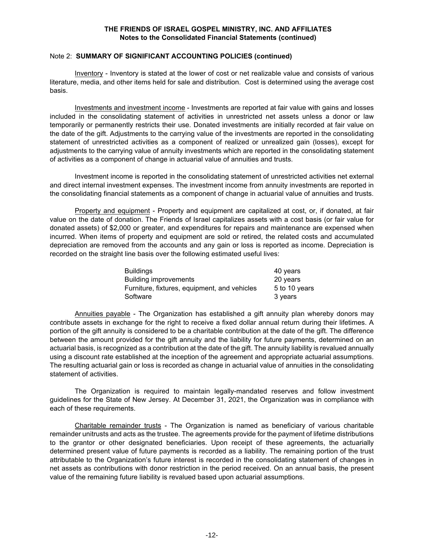#### Note 2: **SUMMARY OF SIGNIFICANT ACCOUNTING POLICIES (continued)**

Inventory - Inventory is stated at the lower of cost or net realizable value and consists of various literature, media, and other items held for sale and distribution. Cost is determined using the average cost basis.

Investments and investment income - Investments are reported at fair value with gains and losses included in the consolidating statement of activities in unrestricted net assets unless a donor or law temporarily or permanently restricts their use. Donated investments are initially recorded at fair value on the date of the gift. Adjustments to the carrying value of the investments are reported in the consolidating statement of unrestricted activities as a component of realized or unrealized gain (losses), except for adjustments to the carrying value of annuity investments which are reported in the consolidating statement of activities as a component of change in actuarial value of annuities and trusts.

Investment income is reported in the consolidating statement of unrestricted activities net external and direct internal investment expenses. The investment income from annuity investments are reported in the consolidating financial statements as a component of change in actuarial value of annuities and trusts.

Property and equipment - Property and equipment are capitalized at cost, or, if donated, at fair value on the date of donation. The Friends of Israel capitalizes assets with a cost basis (or fair value for donated assets) of \$2,000 or greater, and expenditures for repairs and maintenance are expensed when incurred. When items of property and equipment are sold or retired, the related costs and accumulated depreciation are removed from the accounts and any gain or loss is reported as income. Depreciation is recorded on the straight line basis over the following estimated useful lives:

| <b>Buildings</b>                             | 40 years      |
|----------------------------------------------|---------------|
| <b>Building improvements</b>                 | 20 years      |
| Furniture, fixtures, equipment, and vehicles | 5 to 10 years |
| Software                                     | 3 years       |

Annuities payable - The Organization has established a gift annuity plan whereby donors may contribute assets in exchange for the right to receive a fixed dollar annual return during their lifetimes. A portion of the gift annuity is considered to be a charitable contribution at the date of the gift. The difference between the amount provided for the gift annuity and the liability for future payments, determined on an actuarial basis, is recognized as a contribution at the date of the gift. The annuity liability is revalued annually using a discount rate established at the inception of the agreement and appropriate actuarial assumptions. The resulting actuarial gain or loss is recorded as change in actuarial value of annuities in the consolidating statement of activities.

The Organization is required to maintain legally-mandated reserves and follow investment guidelines for the State of New Jersey. At December 31, 2021, the Organization was in compliance with each of these requirements.

Charitable remainder trusts - The Organization is named as beneficiary of various charitable remainder unitrusts and acts as the trustee. The agreements provide for the payment of lifetime distributions to the grantor or other designated beneficiaries. Upon receipt of these agreements, the actuarially determined present value of future payments is recorded as a liability. The remaining portion of the trust attributable to the Organization's future interest is recorded in the consolidating statement of changes in net assets as contributions with donor restriction in the period received. On an annual basis, the present value of the remaining future liability is revalued based upon actuarial assumptions.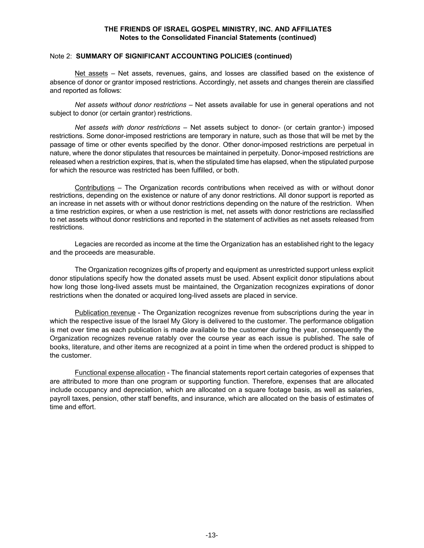#### Note 2: **SUMMARY OF SIGNIFICANT ACCOUNTING POLICIES (continued)**

Net assets – Net assets, revenues, gains, and losses are classified based on the existence of absence of donor or grantor imposed restrictions. Accordingly, net assets and changes therein are classified and reported as follows:

*Net assets without donor restrictions* – Net assets available for use in general operations and not subject to donor (or certain grantor) restrictions.

*Net assets with donor restrictions* – Net assets subject to donor- (or certain grantor-) imposed restrictions. Some donor-imposed restrictions are temporary in nature, such as those that will be met by the passage of time or other events specified by the donor. Other donor-imposed restrictions are perpetual in nature, where the donor stipulates that resources be maintained in perpetuity. Donor-imposed restrictions are released when a restriction expires, that is, when the stipulated time has elapsed, when the stipulated purpose for which the resource was restricted has been fulfilled, or both.

Contributions – The Organization records contributions when received as with or without donor restrictions, depending on the existence or nature of any donor restrictions. All donor support is reported as an increase in net assets with or without donor restrictions depending on the nature of the restriction. When a time restriction expires, or when a use restriction is met, net assets with donor restrictions are reclassified to net assets without donor restrictions and reported in the statement of activities as net assets released from restrictions.

Legacies are recorded as income at the time the Organization has an established right to the legacy and the proceeds are measurable.

The Organization recognizes gifts of property and equipment as unrestricted support unless explicit donor stipulations specify how the donated assets must be used. Absent explicit donor stipulations about how long those long-lived assets must be maintained, the Organization recognizes expirations of donor restrictions when the donated or acquired long-lived assets are placed in service.

Publication revenue - The Organization recognizes revenue from subscriptions during the year in which the respective issue of the Israel My Glory is delivered to the customer. The performance obligation is met over time as each publication is made available to the customer during the year, consequently the Organization recognizes revenue ratably over the course year as each issue is published. The sale of books, literature, and other items are recognized at a point in time when the ordered product is shipped to the customer.

Functional expense allocation - The financial statements report certain categories of expenses that are attributed to more than one program or supporting function. Therefore, expenses that are allocated include occupancy and depreciation, which are allocated on a square footage basis, as well as salaries, payroll taxes, pension, other staff benefits, and insurance, which are allocated on the basis of estimates of time and effort.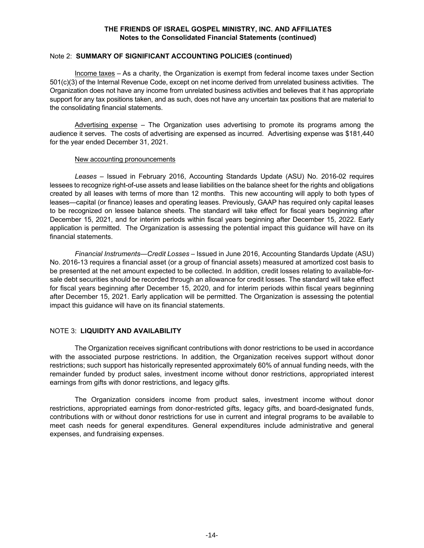#### Note 2: **SUMMARY OF SIGNIFICANT ACCOUNTING POLICIES (continued)**

Income taxes – As a charity, the Organization is exempt from federal income taxes under Section 501(c)(3) of the Internal Revenue Code, except on net income derived from unrelated business activities. The Organization does not have any income from unrelated business activities and believes that it has appropriate support for any tax positions taken, and as such, does not have any uncertain tax positions that are material to the consolidating financial statements.

Advertising expense – The Organization uses advertising to promote its programs among the audience it serves. The costs of advertising are expensed as incurred. Advertising expense was \$181,440 for the year ended December 31, 2021.

#### New accounting pronouncements

*Leases* – Issued in February 2016, Accounting Standards Update (ASU) No. 2016-02 requires lessees to recognize right-of-use assets and lease liabilities on the balance sheet for the rights and obligations created by all leases with terms of more than 12 months. This new accounting will apply to both types of leases—capital (or finance) leases and operating leases. Previously, GAAP has required only capital leases to be recognized on lessee balance sheets. The standard will take effect for fiscal years beginning after December 15, 2021, and for interim periods within fiscal years beginning after December 15, 2022. Early application is permitted. The Organization is assessing the potential impact this guidance will have on its financial statements.

*Financial Instruments—Credit Losses* – Issued in June 2016, Accounting Standards Update (ASU) No. 2016-13 requires a financial asset (or a group of financial assets) measured at amortized cost basis to be presented at the net amount expected to be collected. In addition, credit losses relating to available-forsale debt securities should be recorded through an allowance for credit losses. The standard will take effect for fiscal years beginning after December 15, 2020, and for interim periods within fiscal years beginning after December 15, 2021. Early application will be permitted. The Organization is assessing the potential impact this guidance will have on its financial statements.

## NOTE 3: **LIQUIDITY AND AVAILABILITY**

The Organization receives significant contributions with donor restrictions to be used in accordance with the associated purpose restrictions. In addition, the Organization receives support without donor restrictions; such support has historically represented approximately 60% of annual funding needs, with the remainder funded by product sales, investment income without donor restrictions, appropriated interest earnings from gifts with donor restrictions, and legacy gifts.

The Organization considers income from product sales, investment income without donor restrictions, appropriated earnings from donor-restricted gifts, legacy gifts, and board-designated funds, contributions with or without donor restrictions for use in current and integral programs to be available to meet cash needs for general expenditures. General expenditures include administrative and general expenses, and fundraising expenses.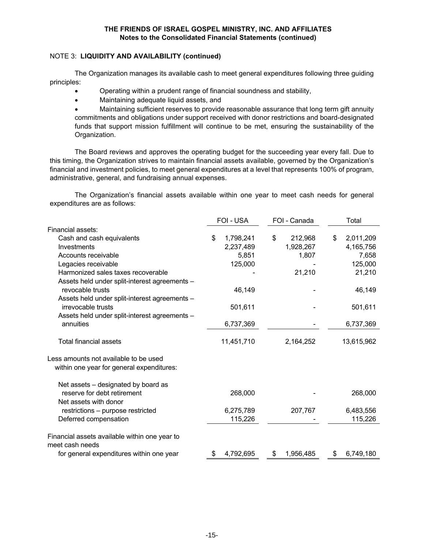### NOTE 3: **LIQUIDITY AND AVAILABILITY (continued)**

The Organization manages its available cash to meet general expenditures following three guiding principles:

- Operating within a prudent range of financial soundness and stability,
- Maintaining adequate liquid assets, and

 Maintaining sufficient reserves to provide reasonable assurance that long term gift annuity commitments and obligations under support received with donor restrictions and board-designated funds that support mission fulfillment will continue to be met, ensuring the sustainability of the Organization.

The Board reviews and approves the operating budget for the succeeding year every fall. Due to this timing, the Organization strives to maintain financial assets available, governed by the Organization's financial and investment policies, to meet general expenditures at a level that represents 100% of program, administrative, general, and fundraising annual expenses.

The Organization's financial assets available within one year to meet cash needs for general expenditures are as follows:

|                                               | FOI - USA       | FOI - Canada    | Total           |
|-----------------------------------------------|-----------------|-----------------|-----------------|
| Financial assets:                             |                 |                 |                 |
| Cash and cash equivalents                     | \$<br>1,798,241 | \$<br>212,968   | \$<br>2,011,209 |
| Investments                                   | 2,237,489       | 1,928,267       | 4,165,756       |
| Accounts receivable                           | 5,851           | 1,807           | 7,658           |
| Legacies receivable                           | 125,000         |                 | 125,000         |
| Harmonized sales taxes recoverable            |                 | 21,210          | 21,210          |
| Assets held under split-interest agreements - |                 |                 |                 |
| revocable trusts                              | 46,149          |                 | 46,149          |
| Assets held under split-interest agreements - |                 |                 |                 |
| irrevocable trusts                            | 501,611         |                 | 501,611         |
| Assets held under split-interest agreements - |                 |                 |                 |
| annuities                                     | 6,737,369       |                 | 6,737,369       |
|                                               |                 |                 |                 |
| <b>Total financial assets</b>                 | 11,451,710      | 2,164,252       | 13,615,962      |
| Less amounts not available to be used         |                 |                 |                 |
| within one year for general expenditures:     |                 |                 |                 |
| Net assets - designated by board as           |                 |                 |                 |
| reserve for debt retirement                   | 268,000         |                 | 268,000         |
| Net assets with donor                         |                 |                 |                 |
| restrictions - purpose restricted             | 6,275,789       | 207,767         | 6,483,556       |
| Deferred compensation                         | 115,226         |                 | 115,226         |
| Financial assets available within one year to |                 |                 |                 |
| meet cash needs                               |                 |                 |                 |
| for general expenditures within one year      | 4,792,695<br>\$ | 1,956,485<br>\$ | 6,749,180<br>\$ |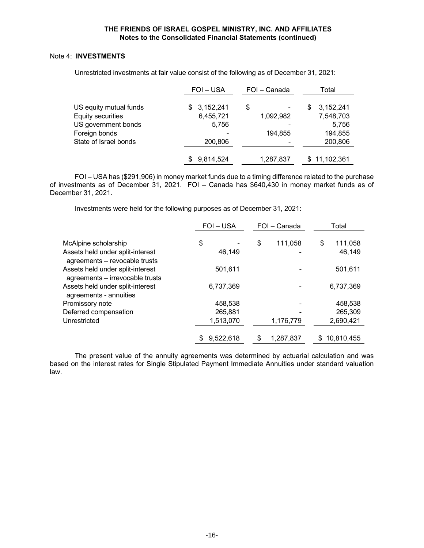#### Note 4: **INVESTMENTS**

|                                                    | FOI-USA                  | FOI - Canada    | Total                       |  |  |  |
|----------------------------------------------------|--------------------------|-----------------|-----------------------------|--|--|--|
| US equity mutual funds<br><b>Equity securities</b> | \$3,152,241<br>6,455,721 | \$<br>1,092,982 | 3,152,241<br>S<br>7,548,703 |  |  |  |
| US government bonds<br>Foreign bonds               | 5,756                    | 194,855         | 5,756<br>194,855            |  |  |  |
| State of Israel bonds                              | 200,806                  |                 | 200,806                     |  |  |  |
|                                                    | 9,814,524                | 1,287,837       | \$11,102,361                |  |  |  |

Unrestricted investments at fair value consist of the following as of December 31, 2021:

FOI – USA has (\$291,906) in money market funds due to a timing difference related to the purchase of investments as of December 31, 2021. FOI – Canada has \$640,430 in money market funds as of December 31, 2021.

Investments were held for the following purposes as of December 31, 2021:

|                                                                     | FOI-USA   | FOI - Canada    | Total            |
|---------------------------------------------------------------------|-----------|-----------------|------------------|
| McAlpine scholarship                                                | \$        | \$<br>111,058   | \$<br>111,058    |
| Assets held under split-interest<br>agreements - revocable trusts   | 46,149    |                 | 46,149           |
| Assets held under split-interest<br>agreements - irrevocable trusts | 501.611   |                 | 501,611          |
| Assets held under split-interest<br>agreements - annuities          | 6,737,369 |                 | 6,737,369        |
| Promissory note                                                     | 458,538   |                 | 458,538          |
| Deferred compensation                                               | 265,881   |                 | 265,309          |
| Unrestricted                                                        | 1,513,070 | 1,176,779       | 2,690,421        |
|                                                                     | 9,522,618 | \$<br>1,287,837 | 10,810,455<br>\$ |

The present value of the annuity agreements was determined by actuarial calculation and was based on the interest rates for Single Stipulated Payment Immediate Annuities under standard valuation law.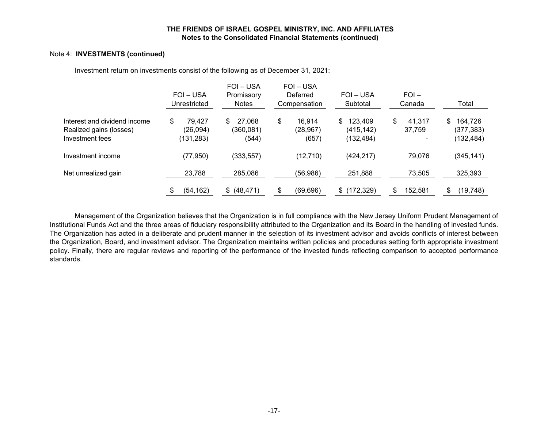#### Note 4: **INVESTMENTS (continued)**

Investment return on investments consist of the following as of December 31, 2021:

|                                                                            | FOI-USA<br>Unrestricted                | FOI-USA<br>Promissory<br><b>Notes</b> | FOI-USA<br>Deferred<br>Compensation | <b>FOI-USA</b><br>Subtotal                | $FOI -$<br>Canada      | Total                                      |
|----------------------------------------------------------------------------|----------------------------------------|---------------------------------------|-------------------------------------|-------------------------------------------|------------------------|--------------------------------------------|
| Interest and dividend income<br>Realized gains (losses)<br>Investment fees | \$<br>79,427<br>(26,094)<br>(131, 283) | 27,068<br>\$<br>(360,081)<br>(544)    | \$<br>16,914<br>(28, 967)<br>(657)  | 123,409<br>\$<br>(415, 142)<br>(132, 484) | \$<br>41.317<br>37,759 | 164,726<br>\$.<br>(377, 383)<br>(132, 484) |
| Investment income                                                          | (77, 950)                              | (333, 557)                            | (12, 710)                           | (424, 217)                                | 79,076                 | (345, 141)                                 |
| Net unrealized gain                                                        | 23,788                                 | 285,086                               | (56, 986)                           | 251,888                                   | 73,505                 | 325,393                                    |
|                                                                            | (54, 162)<br>\$                        | \$ (48, 471)                          | (69, 696)<br>\$                     | \$(172,329)                               | 152,581<br>\$          | (19, 748)<br>S                             |

Management of the Organization believes that the Organization is in full compliance with the New Jersey Uniform Prudent Management of Institutional Funds Act and the three areas of fiduciary responsibility attributed to the Organization and its Board in the handling of invested funds. The Organization has acted in a deliberate and prudent manner in the selection of its investment advisor and avoids conflicts of interest between the Organization, Board, and investment advisor. The Organization maintains written policies and procedures setting forth appropriate investment policy. Finally, there are regular reviews and reporting of the performance of the invested funds reflecting comparison to accepted performance standards.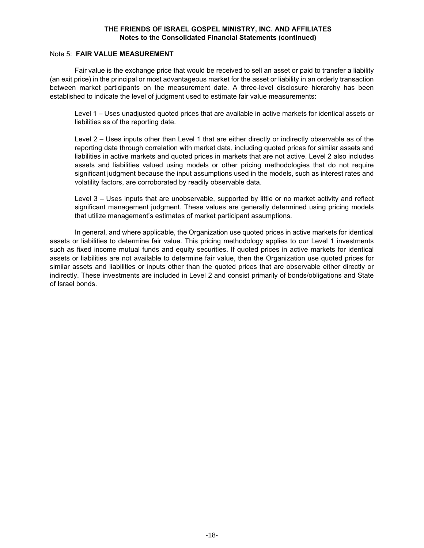#### Note 5: **FAIR VALUE MEASUREMENT**

Fair value is the exchange price that would be received to sell an asset or paid to transfer a liability (an exit price) in the principal or most advantageous market for the asset or liability in an orderly transaction between market participants on the measurement date. A three-level disclosure hierarchy has been established to indicate the level of judgment used to estimate fair value measurements:

Level 1 – Uses unadjusted quoted prices that are available in active markets for identical assets or liabilities as of the reporting date.

Level 2 – Uses inputs other than Level 1 that are either directly or indirectly observable as of the reporting date through correlation with market data, including quoted prices for similar assets and liabilities in active markets and quoted prices in markets that are not active. Level 2 also includes assets and liabilities valued using models or other pricing methodologies that do not require significant judgment because the input assumptions used in the models, such as interest rates and volatility factors, are corroborated by readily observable data.

Level 3 – Uses inputs that are unobservable, supported by little or no market activity and reflect significant management judgment. These values are generally determined using pricing models that utilize management's estimates of market participant assumptions.

In general, and where applicable, the Organization use quoted prices in active markets for identical assets or liabilities to determine fair value. This pricing methodology applies to our Level 1 investments such as fixed income mutual funds and equity securities. If quoted prices in active markets for identical assets or liabilities are not available to determine fair value, then the Organization use quoted prices for similar assets and liabilities or inputs other than the quoted prices that are observable either directly or indirectly. These investments are included in Level 2 and consist primarily of bonds/obligations and State of Israel bonds.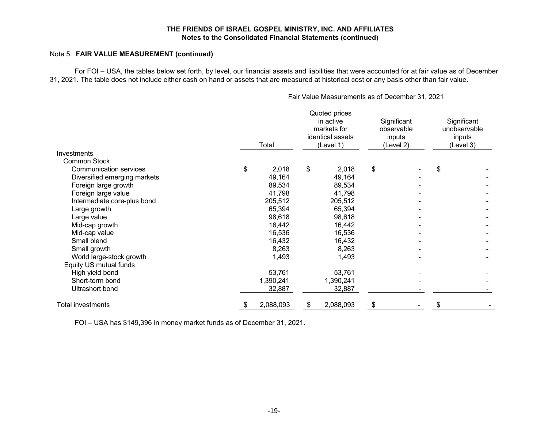### Note 5: **FAIR VALUE MEASUREMENT (continued)**

For FOI – USA, the tables below set forth, by level, our financial assets and liabilities that were accounted for at fair value as of December 31, 2021. The table does not include either cash on hand or assets that are measured at historical cost or any basis other than fair value.

|                                    | Fair Value Measurements as of December 31, 2021 |           |    |                                                                            |    |                                                  |                                                    |  |
|------------------------------------|-------------------------------------------------|-----------|----|----------------------------------------------------------------------------|----|--------------------------------------------------|----------------------------------------------------|--|
|                                    |                                                 | Total     |    | Quoted prices<br>in active<br>markets for<br>identical assets<br>(Level 1) |    | Significant<br>observable<br>inputs<br>(Level 2) | Significant<br>unobservable<br>inputs<br>(Level 3) |  |
| Investments<br><b>Common Stock</b> |                                                 |           |    |                                                                            |    |                                                  |                                                    |  |
| <b>Communication services</b>      | \$                                              | 2,018     | \$ | 2,018                                                                      | \$ |                                                  | \$                                                 |  |
| Diversified emerging markets       |                                                 | 49,164    |    | 49,164                                                                     |    |                                                  |                                                    |  |
| Foreign large growth               |                                                 | 89,534    |    | 89,534                                                                     |    |                                                  |                                                    |  |
| Foreign large value                |                                                 | 41,798    |    | 41,798                                                                     |    |                                                  |                                                    |  |
| Intermediate core-plus bond        |                                                 | 205,512   |    | 205,512                                                                    |    |                                                  |                                                    |  |
| Large growth                       |                                                 | 65,394    |    | 65,394                                                                     |    |                                                  |                                                    |  |
| Large value                        |                                                 | 98,618    |    | 98,618                                                                     |    |                                                  |                                                    |  |
| Mid-cap growth                     |                                                 | 16,442    |    | 16,442                                                                     |    |                                                  |                                                    |  |
| Mid-cap value                      |                                                 | 16,536    |    | 16,536                                                                     |    |                                                  |                                                    |  |
| Small blend                        |                                                 | 16,432    |    | 16,432                                                                     |    |                                                  |                                                    |  |
| Small growth                       |                                                 | 8,263     |    | 8,263                                                                      |    |                                                  |                                                    |  |
| World large-stock growth           |                                                 | 1,493     |    | 1,493                                                                      |    |                                                  |                                                    |  |
| Equity US mutual funds             |                                                 |           |    |                                                                            |    |                                                  |                                                    |  |
| High yield bond                    |                                                 | 53,761    |    | 53,761                                                                     |    |                                                  |                                                    |  |
| Short-term bond                    |                                                 | 1,390,241 |    | 1,390,241                                                                  |    |                                                  |                                                    |  |
| Ultrashort bond                    |                                                 | 32,887    |    | 32,887                                                                     |    |                                                  |                                                    |  |
| Total investments                  |                                                 | 2,088,093 | \$ | 2,088,093                                                                  | \$ |                                                  |                                                    |  |

FOI – USA has \$149,396 in money market funds as of December 31, 2021.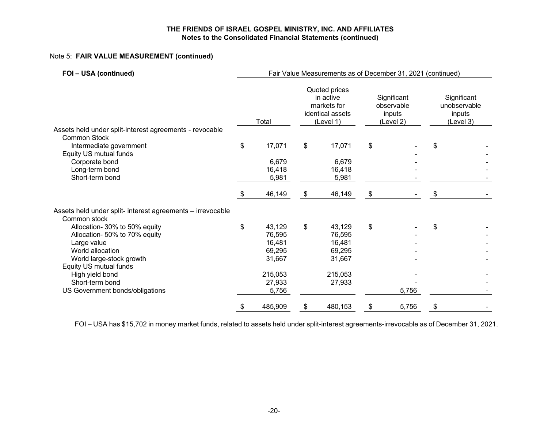## Note 5: **FAIR VALUE MEASUREMENT (continued)**

| FOI-USA (continued)                                                            | Fair Value Measurements as of December 31, 2021 (continued) |         |    |                                                                            |    |                                                  |                                                    |  |
|--------------------------------------------------------------------------------|-------------------------------------------------------------|---------|----|----------------------------------------------------------------------------|----|--------------------------------------------------|----------------------------------------------------|--|
|                                                                                |                                                             | Total   |    | Quoted prices<br>in active<br>markets for<br>identical assets<br>(Level 1) |    | Significant<br>observable<br>inputs<br>(Level 2) | Significant<br>unobservable<br>inputs<br>(Level 3) |  |
| Assets held under split-interest agreements - revocable<br><b>Common Stock</b> |                                                             |         |    |                                                                            |    |                                                  |                                                    |  |
| Intermediate government<br>Equity US mutual funds                              | \$                                                          | 17,071  | \$ | 17,071                                                                     | \$ |                                                  | \$                                                 |  |
| Corporate bond                                                                 |                                                             | 6,679   |    | 6,679                                                                      |    |                                                  |                                                    |  |
| Long-term bond                                                                 |                                                             | 16,418  |    | 16,418                                                                     |    |                                                  |                                                    |  |
| Short-term bond                                                                |                                                             | 5,981   |    | 5,981                                                                      |    |                                                  |                                                    |  |
|                                                                                | S.                                                          | 46,149  | \$ | 46,149                                                                     | \$ |                                                  | \$                                                 |  |
| Assets held under split- interest agreements - irrevocable<br>Common stock     |                                                             |         |    |                                                                            |    |                                                  |                                                    |  |
| Allocation- 30% to 50% equity                                                  | \$                                                          | 43,129  | \$ | 43,129                                                                     | \$ |                                                  | \$                                                 |  |
| Allocation- 50% to 70% equity                                                  |                                                             | 76,595  |    | 76,595                                                                     |    |                                                  |                                                    |  |
| Large value                                                                    |                                                             | 16,481  |    | 16,481                                                                     |    |                                                  |                                                    |  |
| World allocation                                                               |                                                             | 69,295  |    | 69,295                                                                     |    |                                                  |                                                    |  |
| World large-stock growth                                                       |                                                             | 31,667  |    | 31,667                                                                     |    |                                                  |                                                    |  |
| Equity US mutual funds                                                         |                                                             |         |    |                                                                            |    |                                                  |                                                    |  |
| High yield bond                                                                |                                                             | 215,053 |    | 215,053                                                                    |    |                                                  |                                                    |  |
| Short-term bond                                                                |                                                             | 27,933  |    | 27,933                                                                     |    |                                                  |                                                    |  |
| US Government bonds/obligations                                                |                                                             | 5,756   |    |                                                                            |    | 5,756                                            |                                                    |  |
|                                                                                | \$                                                          | 485,909 | \$ | 480,153                                                                    | \$ | 5,756                                            | \$                                                 |  |

FOI – USA has \$15,702 in money market funds, related to assets held under split-interest agreements-irrevocable as of December 31, 2021.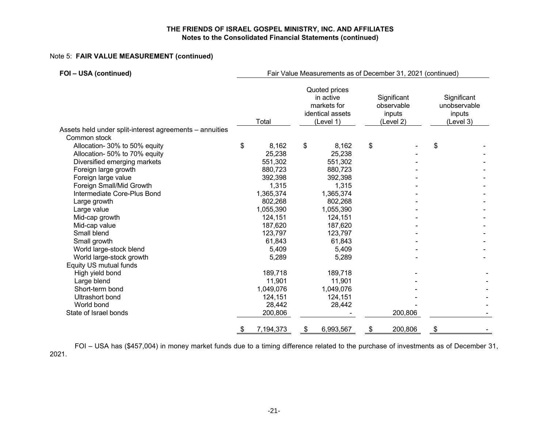## Note 5: **FAIR VALUE MEASUREMENT (continued)**

| FOI - USA (continued)                                                   | Fair Value Measurements as of December 31, 2021 (continued) |           |    |                                                                            |    |                                                  |    |                                                    |  |
|-------------------------------------------------------------------------|-------------------------------------------------------------|-----------|----|----------------------------------------------------------------------------|----|--------------------------------------------------|----|----------------------------------------------------|--|
|                                                                         |                                                             | Total     |    | Quoted prices<br>in active<br>markets for<br>identical assets<br>(Level 1) |    | Significant<br>observable<br>inputs<br>(Level 2) |    | Significant<br>unobservable<br>inputs<br>(Level 3) |  |
| Assets held under split-interest agreements - annuities<br>Common stock |                                                             |           |    |                                                                            |    |                                                  |    |                                                    |  |
| Allocation- 30% to 50% equity                                           | \$                                                          | 8,162     | \$ | 8,162                                                                      | \$ |                                                  | \$ |                                                    |  |
| Allocation- 50% to 70% equity                                           |                                                             | 25,238    |    | 25,238                                                                     |    |                                                  |    |                                                    |  |
| Diversified emerging markets                                            |                                                             | 551,302   |    | 551,302                                                                    |    |                                                  |    |                                                    |  |
| Foreign large growth                                                    |                                                             | 880,723   |    | 880,723                                                                    |    |                                                  |    |                                                    |  |
| Foreign large value                                                     |                                                             | 392,398   |    | 392,398                                                                    |    |                                                  |    |                                                    |  |
| Foreign Small/Mid Growth                                                |                                                             | 1,315     |    | 1,315                                                                      |    |                                                  |    |                                                    |  |
| Intermediate Core-Plus Bond                                             |                                                             | 1,365,374 |    | 1,365,374                                                                  |    |                                                  |    |                                                    |  |
| Large growth                                                            |                                                             | 802,268   |    | 802,268                                                                    |    |                                                  |    |                                                    |  |
| Large value                                                             |                                                             | 1,055,390 |    | 1,055,390                                                                  |    |                                                  |    |                                                    |  |
| Mid-cap growth                                                          |                                                             | 124,151   |    | 124,151                                                                    |    |                                                  |    |                                                    |  |
| Mid-cap value                                                           |                                                             | 187,620   |    | 187,620                                                                    |    |                                                  |    |                                                    |  |
| Small blend                                                             |                                                             | 123,797   |    | 123,797                                                                    |    |                                                  |    |                                                    |  |
| Small growth                                                            |                                                             | 61,843    |    | 61,843                                                                     |    |                                                  |    |                                                    |  |
| World large-stock blend                                                 |                                                             | 5,409     |    | 5,409                                                                      |    |                                                  |    |                                                    |  |
| World large-stock growth                                                |                                                             | 5,289     |    | 5,289                                                                      |    |                                                  |    |                                                    |  |
| Equity US mutual funds                                                  |                                                             |           |    |                                                                            |    |                                                  |    |                                                    |  |
| High yield bond                                                         |                                                             | 189,718   |    | 189,718                                                                    |    |                                                  |    |                                                    |  |
| Large blend                                                             |                                                             | 11,901    |    | 11,901                                                                     |    |                                                  |    |                                                    |  |
| Short-term bond                                                         |                                                             | 1,049,076 |    | 1,049,076                                                                  |    |                                                  |    |                                                    |  |
| Ultrashort bond                                                         |                                                             | 124,151   |    | 124,151                                                                    |    |                                                  |    |                                                    |  |
| World bond                                                              |                                                             | 28,442    |    | 28,442                                                                     |    |                                                  |    |                                                    |  |
| State of Israel bonds                                                   |                                                             | 200,806   |    |                                                                            |    | 200,806                                          |    |                                                    |  |
|                                                                         | \$                                                          | 7,194,373 | \$ | 6,993,567                                                                  | \$ | 200,806                                          | \$ |                                                    |  |

FOI – USA has (\$457,004) in money market funds due to a timing difference related to the purchase of investments as of December 31, 2021.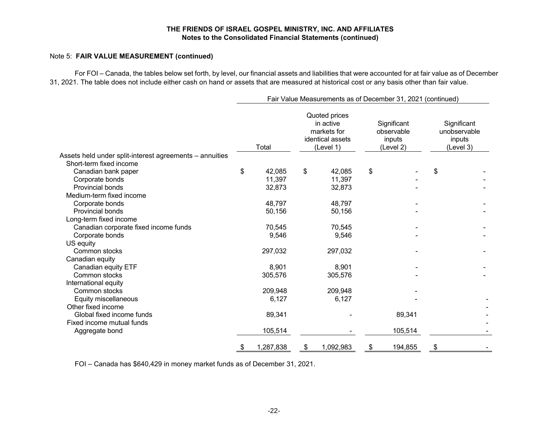## Note 5: **FAIR VALUE MEASUREMENT (continued)**

For FOI – Canada, the tables below set forth, by level, our financial assets and liabilities that were accounted for at fair value as of December 31, 2021. The table does not include either cash on hand or assets that are measured at historical cost or any basis other than fair value.

|                                                         | Fair Value Measurements as of December 31, 2021 (continued) |           |    |                                                                            |    |                                                  |    |                                                    |
|---------------------------------------------------------|-------------------------------------------------------------|-----------|----|----------------------------------------------------------------------------|----|--------------------------------------------------|----|----------------------------------------------------|
|                                                         |                                                             | Total     |    | Quoted prices<br>in active<br>markets for<br>identical assets<br>(Level 1) |    | Significant<br>observable<br>inputs<br>(Level 2) |    | Significant<br>unobservable<br>inputs<br>(Level 3) |
| Assets held under split-interest agreements - annuities |                                                             |           |    |                                                                            |    |                                                  |    |                                                    |
| Short-term fixed income                                 |                                                             |           |    |                                                                            |    |                                                  |    |                                                    |
| Canadian bank paper                                     | \$                                                          | 42,085    | \$ | 42,085                                                                     | \$ |                                                  | \$ |                                                    |
| Corporate bonds                                         |                                                             | 11,397    |    | 11,397                                                                     |    |                                                  |    |                                                    |
| <b>Provincial bonds</b>                                 |                                                             | 32,873    |    | 32,873                                                                     |    |                                                  |    |                                                    |
| Medium-term fixed income                                |                                                             |           |    |                                                                            |    |                                                  |    |                                                    |
| Corporate bonds                                         |                                                             | 48,797    |    | 48,797                                                                     |    |                                                  |    |                                                    |
| Provincial bonds                                        |                                                             | 50,156    |    | 50,156                                                                     |    |                                                  |    |                                                    |
| Long-term fixed income                                  |                                                             |           |    |                                                                            |    |                                                  |    |                                                    |
| Canadian corporate fixed income funds                   |                                                             | 70,545    |    | 70,545                                                                     |    |                                                  |    |                                                    |
| Corporate bonds                                         |                                                             | 9,546     |    | 9,546                                                                      |    |                                                  |    |                                                    |
| US equity                                               |                                                             |           |    |                                                                            |    |                                                  |    |                                                    |
| Common stocks                                           |                                                             | 297,032   |    | 297,032                                                                    |    |                                                  |    |                                                    |
| Canadian equity                                         |                                                             |           |    |                                                                            |    |                                                  |    |                                                    |
| Canadian equity ETF                                     |                                                             | 8,901     |    | 8,901                                                                      |    |                                                  |    |                                                    |
| Common stocks                                           |                                                             | 305,576   |    | 305,576                                                                    |    |                                                  |    |                                                    |
| International equity                                    |                                                             |           |    |                                                                            |    |                                                  |    |                                                    |
| Common stocks                                           |                                                             | 209,948   |    | 209,948                                                                    |    |                                                  |    |                                                    |
| Equity miscellaneous                                    |                                                             | 6,127     |    | 6,127                                                                      |    |                                                  |    |                                                    |
| Other fixed income                                      |                                                             |           |    |                                                                            |    |                                                  |    |                                                    |
| Global fixed income funds                               |                                                             | 89,341    |    |                                                                            |    | 89,341                                           |    |                                                    |
| Fixed income mutual funds                               |                                                             |           |    |                                                                            |    |                                                  |    |                                                    |
| Aggregate bond                                          |                                                             | 105,514   |    |                                                                            |    | 105,514                                          |    |                                                    |
|                                                         | \$                                                          | 1,287,838 | \$ | 1,092,983                                                                  | \$ | 194,855                                          | \$ |                                                    |

FOI – Canada has \$640,429 in money market funds as of December 31, 2021.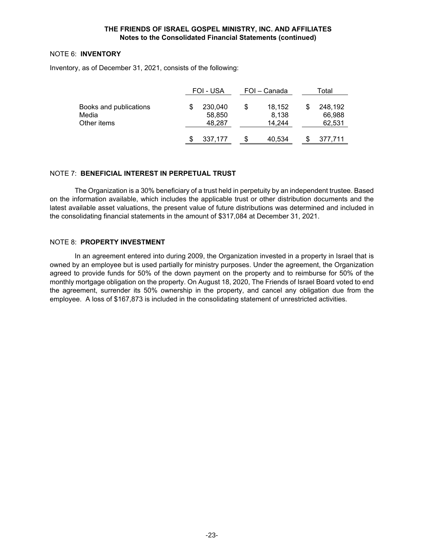## NOTE 6: **INVENTORY**

Inventory, as of December 31, 2021, consists of the following:

|                                                | FOI - USA                   |    | FOI - Canada              | Total                       |
|------------------------------------------------|-----------------------------|----|---------------------------|-----------------------------|
| Books and publications<br>Media<br>Other items | 230,040<br>58,850<br>48,287 | S  | 18,152<br>8,138<br>14.244 | 248,192<br>66,988<br>62,531 |
|                                                | 337,177                     | £. | 40.534                    | 377,711                     |

### NOTE 7: **BENEFICIAL INTEREST IN PERPETUAL TRUST**

The Organization is a 30% beneficiary of a trust held in perpetuity by an independent trustee. Based on the information available, which includes the applicable trust or other distribution documents and the latest available asset valuations, the present value of future distributions was determined and included in the consolidating financial statements in the amount of \$317,084 at December 31, 2021.

### NOTE 8: **PROPERTY INVESTMENT**

In an agreement entered into during 2009, the Organization invested in a property in Israel that is owned by an employee but is used partially for ministry purposes. Under the agreement, the Organization agreed to provide funds for 50% of the down payment on the property and to reimburse for 50% of the monthly mortgage obligation on the property. On August 18, 2020, The Friends of Israel Board voted to end the agreement, surrender its 50% ownership in the property, and cancel any obligation due from the employee. A loss of \$167,873 is included in the consolidating statement of unrestricted activities.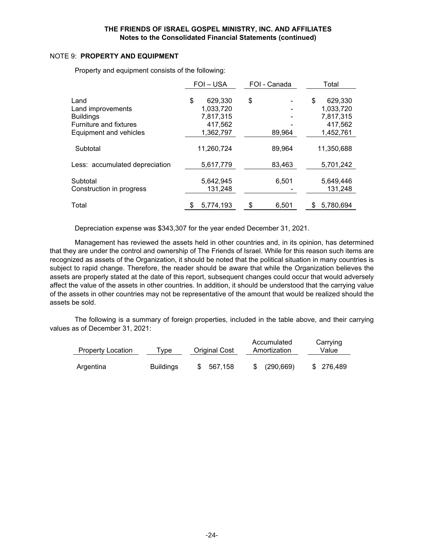## NOTE 9: **PROPERTY AND EQUIPMENT**

|                                                         | FOI-USA                                 | FOI - Canada | Total                                   |
|---------------------------------------------------------|-----------------------------------------|--------------|-----------------------------------------|
| Land<br>Land improvements<br><b>Buildings</b>           | \$<br>629,330<br>1.033.720<br>7,817,315 | \$           | \$<br>629,330<br>1,033,720<br>7,817,315 |
| <b>Furniture and fixtures</b><br>Equipment and vehicles | 417,562<br>1,362,797                    | 89,964       | 417,562<br>1,452,761                    |
| Subtotal                                                | 11,260,724                              | 89.964       | 11,350,688                              |
| Less: accumulated depreciation                          | 5,617,779                               | 83,463       | 5,701,242                               |
| Subtotal<br>Construction in progress                    | 5.642.945<br>131,248                    | 6.501        | 5,649,446<br>131,248                    |
| Total                                                   | 5,774,193                               | 6,501        | 5,780,694                               |

Property and equipment consists of the following:

Depreciation expense was \$343,307 for the year ended December 31, 2021.

Management has reviewed the assets held in other countries and, in its opinion, has determined that they are under the control and ownership of The Friends of Israel. While for this reason such items are recognized as assets of the Organization, it should be noted that the political situation in many countries is subject to rapid change. Therefore, the reader should be aware that while the Organization believes the assets are properly stated at the date of this report, subsequent changes could occur that would adversely affect the value of the assets in other countries. In addition, it should be understood that the carrying value of the assets in other countries may not be representative of the amount that would be realized should the assets be sold.

The following is a summary of foreign properties, included in the table above, and their carrying values as of December 31, 2021:

| <b>Property Location</b> | I ype            | <b>Original Cost</b> | Accumulated<br>Amortization | Carrying<br>Value |
|--------------------------|------------------|----------------------|-----------------------------|-------------------|
| Argentina                | <b>Buildings</b> | \$ 567.158           | $$^{(290,669)}$             | \$ 276,489        |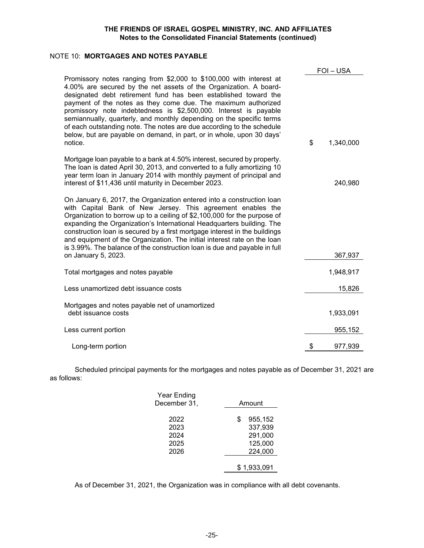## NOTE 10: **MORTGAGES AND NOTES PAYABLE**

|                                                                                                                                                                                                                                                                                                                                                                                                                                                                                                                                                                                       | FOI-USA         |
|---------------------------------------------------------------------------------------------------------------------------------------------------------------------------------------------------------------------------------------------------------------------------------------------------------------------------------------------------------------------------------------------------------------------------------------------------------------------------------------------------------------------------------------------------------------------------------------|-----------------|
| Promissory notes ranging from \$2,000 to \$100,000 with interest at<br>4.00% are secured by the net assets of the Organization. A board-<br>designated debt retirement fund has been established toward the<br>payment of the notes as they come due. The maximum authorized<br>promissory note indebtedness is \$2,500,000. Interest is payable<br>semiannually, quarterly, and monthly depending on the specific terms<br>of each outstanding note. The notes are due according to the schedule<br>below, but are payable on demand, in part, or in whole, upon 30 days'<br>notice. | \$<br>1,340,000 |
| Mortgage loan payable to a bank at 4.50% interest, secured by property.<br>The loan is dated April 30, 2013, and converted to a fully amortizing 10<br>year term loan in January 2014 with monthly payment of principal and<br>interest of \$11,436 until maturity in December 2023.                                                                                                                                                                                                                                                                                                  | 240,980         |
| On January 6, 2017, the Organization entered into a construction loan<br>with Capital Bank of New Jersey. This agreement enables the<br>Organization to borrow up to a ceiling of \$2,100,000 for the purpose of<br>expanding the Organization's International Headquarters building. The<br>construction loan is secured by a first mortgage interest in the buildings<br>and equipment of the Organization. The initial interest rate on the loan<br>is 3.99%. The balance of the construction loan is due and payable in full                                                      |                 |
| on January 5, 2023.                                                                                                                                                                                                                                                                                                                                                                                                                                                                                                                                                                   | 367,937         |
| Total mortgages and notes payable                                                                                                                                                                                                                                                                                                                                                                                                                                                                                                                                                     | 1,948,917       |
| Less unamortized debt issuance costs                                                                                                                                                                                                                                                                                                                                                                                                                                                                                                                                                  | 15,826          |
| Mortgages and notes payable net of unamortized<br>debt issuance costs                                                                                                                                                                                                                                                                                                                                                                                                                                                                                                                 | 1,933,091       |
| Less current portion                                                                                                                                                                                                                                                                                                                                                                                                                                                                                                                                                                  | 955,152         |
| Long-term portion                                                                                                                                                                                                                                                                                                                                                                                                                                                                                                                                                                     | \$<br>977,939   |

Scheduled principal payments for the mortgages and notes payable as of December 31, 2021 are as follows:

| Year Ending<br>December 31, | Amount        |
|-----------------------------|---------------|
| 2022                        | 955,152<br>\$ |
| 2023                        | 337,939       |
| 2024                        | 291,000       |
| 2025                        | 125,000       |
| 2026                        | 224,000       |
|                             | \$1,933,091   |

As of December 31, 2021, the Organization was in compliance with all debt covenants.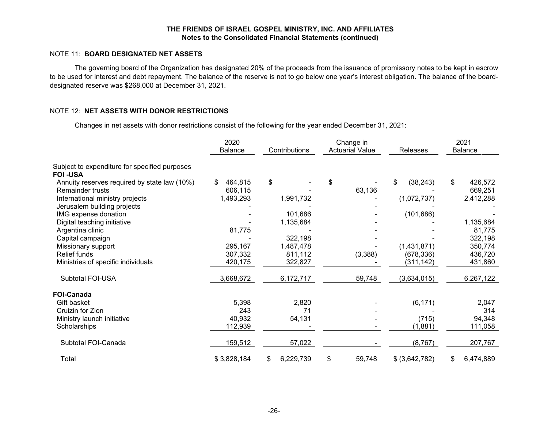#### NOTE 11: **BOARD DESIGNATED NET ASSETS**

The governing board of the Organization has designated 20% of the proceeds from the issuance of promissory notes to be kept in escrow to be used for interest and debt repayment. The balance of the reserve is not to go below one year's interest obligation. The balance of the boarddesignated reserve was \$268,000 at December 31, 2021.

#### NOTE 12: **NET ASSETS WITH DONOR RESTRICTIONS**

Changes in net assets with donor restrictions consist of the following for the year ended December 31, 2021:

|                                                                 | 2020<br><b>Balance</b> | Contributions   | Change in<br><b>Actuarial Value</b> | Releases        | 2021<br>Balance |
|-----------------------------------------------------------------|------------------------|-----------------|-------------------------------------|-----------------|-----------------|
| Subject to expenditure for specified purposes<br><b>FOI-USA</b> |                        |                 |                                     |                 |                 |
| Annuity reserves required by state law (10%)                    | \$<br>464,815          | \$              | \$                                  | \$<br>(38, 243) | 426,572<br>\$   |
| <b>Remainder trusts</b>                                         | 606,115                |                 | 63,136                              |                 | 669,251         |
| International ministry projects                                 | 1,493,293              | 1,991,732       |                                     | (1,072,737)     | 2,412,288       |
| Jerusalem building projects                                     |                        |                 |                                     |                 |                 |
| IMG expense donation                                            |                        | 101,686         |                                     | (101, 686)      |                 |
| Digital teaching initiative                                     |                        | 1,135,684       |                                     |                 | 1,135,684       |
| Argentina clinic                                                | 81,775                 |                 |                                     |                 | 81,775          |
| Capital campaign                                                |                        | 322,198         |                                     |                 | 322,198         |
| Missionary support                                              | 295,167                | 1,487,478       |                                     | (1,431,871)     | 350,774         |
| Relief funds                                                    | 307,332                | 811,112         | (3,388)                             | (678, 336)      | 436,720         |
| Ministries of specific individuals                              | 420,175                | 322,827         |                                     | (311, 142)      | 431,860         |
| Subtotal FOI-USA                                                | 3,668,672              | 6,172,717       | 59,748                              | (3,634,015)     | 6,267,122       |
| <b>FOI-Canada</b>                                               |                        |                 |                                     |                 |                 |
| Gift basket                                                     | 5,398                  | 2,820           |                                     | (6, 171)        | 2,047           |
| Cruizin for Zion                                                | 243                    | 71              |                                     |                 | 314             |
| Ministry launch initiative                                      | 40,932                 | 54,131          |                                     | (715)           | 94,348          |
| Scholarships                                                    | 112,939                |                 |                                     | (1,881)         | 111,058         |
| Subtotal FOI-Canada                                             | 159,512                | 57,022          |                                     | (8, 767)        | 207,767         |
| Total                                                           | \$3,828,184            | 6,229,739<br>\$ | \$<br>59,748                        | \$ (3,642,782)  | 6,474,889<br>\$ |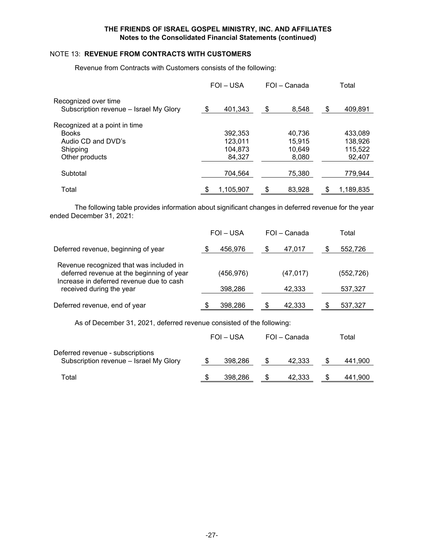# NOTE 13: **REVENUE FROM CONTRACTS WITH CUSTOMERS**

Revenue from Contracts with Customers consists of the following:

|                                                                | FOI - USA       | $FOL - Canada$ | Total           |
|----------------------------------------------------------------|-----------------|----------------|-----------------|
| Recognized over time<br>Subscription revenue - Israel My Glory | \$<br>401,343   | \$<br>8,548    | \$<br>409,891   |
| Recognized at a point in time                                  |                 |                |                 |
| <b>Books</b>                                                   | 392,353         | 40.736         | 433.089         |
| Audio CD and DVD's                                             | 123,011         | 15,915         | 138,926         |
| Shipping                                                       | 104.873         | 10.649         | 115,522         |
| Other products                                                 | 84,327          | 8,080          | 92,407          |
| Subtotal                                                       | 704.564         | 75,380         | 779,944         |
| Total                                                          | \$<br>1,105,907 | \$<br>83.928   | \$<br>1,189,835 |

The following table provides information about significant changes in deferred revenue for the year ended December 31, 2021:

|                                                                                                                                  |      | FOI - USA    |    | $FOL - Canada$ |    | Total     |  |  |  |  |  |
|----------------------------------------------------------------------------------------------------------------------------------|------|--------------|----|----------------|----|-----------|--|--|--|--|--|
| Deferred revenue, beginning of year                                                                                              | - \$ | 456,976      | \$ | 47,017         | \$ | 552,726   |  |  |  |  |  |
| Revenue recognized that was included in<br>deferred revenue at the beginning of year<br>Increase in deferred revenue due to cash |      | (456, 976)   |    | (47,017)       |    | (552,726) |  |  |  |  |  |
| received during the year                                                                                                         |      | 398,286      |    | 42,333         |    | 537,327   |  |  |  |  |  |
| Deferred revenue, end of year                                                                                                    | \$   | 398,286      | \$ | 42,333         | \$ | 537,327   |  |  |  |  |  |
| As of December 31, 2021, deferred revenue consisted of the following:                                                            |      |              |    |                |    |           |  |  |  |  |  |
|                                                                                                                                  |      | FOI - Canada |    | Total          |    |           |  |  |  |  |  |

|                                                                            |         |    | . שנושש | . |         |  |  |
|----------------------------------------------------------------------------|---------|----|---------|---|---------|--|--|
| Deferred revenue - subscriptions<br>Subscription revenue - Israel My Glory | 398,286 | -S | 42.333  |   | 441.900 |  |  |
| Total                                                                      | 398,286 |    | 42.333  |   | 441,900 |  |  |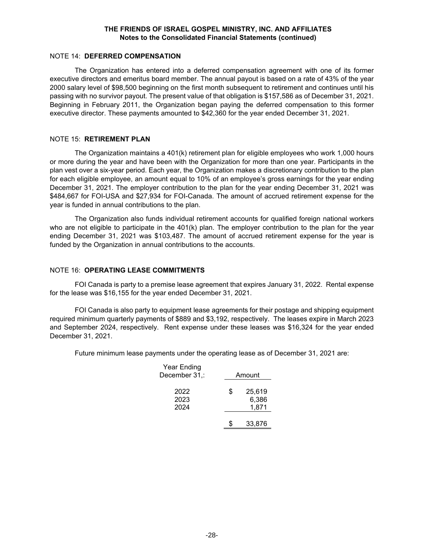#### NOTE 14: **DEFERRED COMPENSATION**

The Organization has entered into a deferred compensation agreement with one of its former executive directors and emeritus board member. The annual payout is based on a rate of 43% of the year 2000 salary level of \$98,500 beginning on the first month subsequent to retirement and continues until his passing with no survivor payout. The present value of that obligation is \$157,586 as of December 31, 2021. Beginning in February 2011, the Organization began paying the deferred compensation to this former executive director. These payments amounted to \$42,360 for the year ended December 31, 2021.

#### NOTE 15: **RETIREMENT PLAN**

The Organization maintains a 401(k) retirement plan for eligible employees who work 1,000 hours or more during the year and have been with the Organization for more than one year. Participants in the plan vest over a six-year period. Each year, the Organization makes a discretionary contribution to the plan for each eligible employee, an amount equal to 10% of an employee's gross earnings for the year ending December 31, 2021. The employer contribution to the plan for the year ending December 31, 2021 was \$484,667 for FOI-USA and \$27,934 for FOI-Canada. The amount of accrued retirement expense for the year is funded in annual contributions to the plan.

The Organization also funds individual retirement accounts for qualified foreign national workers who are not eligible to participate in the 401(k) plan. The employer contribution to the plan for the year ending December 31, 2021 was \$103,487. The amount of accrued retirement expense for the year is funded by the Organization in annual contributions to the accounts.

#### NOTE 16: **OPERATING LEASE COMMITMENTS**

FOI Canada is party to a premise lease agreement that expires January 31, 2022. Rental expense for the lease was \$16,155 for the year ended December 31, 2021.

FOI Canada is also party to equipment lease agreements for their postage and shipping equipment required minimum quarterly payments of \$889 and \$3,192, respectively. The leases expire in March 2023 and September 2024, respectively. Rent expense under these leases was \$16,324 for the year ended December 31, 2021.

Future minimum lease payments under the operating lease as of December 31, 2021 are:

| Year Ending<br>December 31,: | Amount                         |  |  |  |  |  |  |  |
|------------------------------|--------------------------------|--|--|--|--|--|--|--|
| 2022<br>2023<br>2024         | \$<br>25,619<br>6,386<br>1,871 |  |  |  |  |  |  |  |
|                              | 33,876                         |  |  |  |  |  |  |  |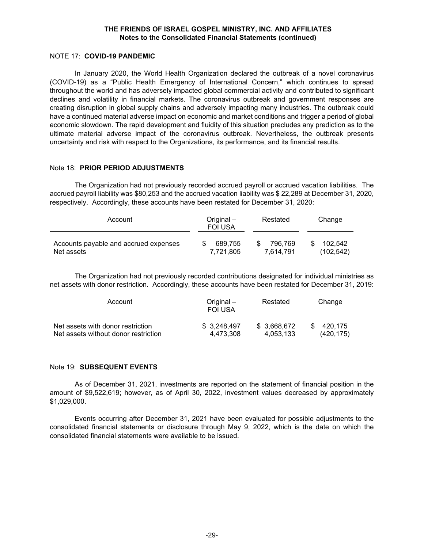#### NOTE 17: **COVID-19 PANDEMIC**

In January 2020, the World Health Organization declared the outbreak of a novel coronavirus (COVID-19) as a "Public Health Emergency of International Concern," which continues to spread throughout the world and has adversely impacted global commercial activity and contributed to significant declines and volatility in financial markets. The coronavirus outbreak and government responses are creating disruption in global supply chains and adversely impacting many industries. The outbreak could have a continued material adverse impact on economic and market conditions and trigger a period of global economic slowdown. The rapid development and fluidity of this situation precludes any prediction as to the ultimate material adverse impact of the coronavirus outbreak. Nevertheless, the outbreak presents uncertainty and risk with respect to the Organizations, its performance, and its financial results.

#### Note 18: **PRIOR PERIOD ADJUSTMENTS**

The Organization had not previously recorded accrued payroll or accrued vacation liabilities. The accrued payroll liability was \$80,253 and the accrued vacation liability was \$ 22,289 at December 31, 2020, respectively. Accordingly, these accounts have been restated for December 31, 2020:

| Account                                             | Original –<br><b>FOI USA</b> | Restated             | Change                       |  |  |  |
|-----------------------------------------------------|------------------------------|----------------------|------------------------------|--|--|--|
| Accounts payable and accrued expenses<br>Net assets | 689.755<br>7.721.805         | 796.769<br>7.614.791 | 102.542<br>\$.<br>(102, 542) |  |  |  |

The Organization had not previously recorded contributions designated for individual ministries as net assets with donor restriction. Accordingly, these accounts have been restated for December 31, 2019:

| Account                                                                   | Original –<br><b>FOI USA</b> | Restated                  | Change                       |  |  |  |  |
|---------------------------------------------------------------------------|------------------------------|---------------------------|------------------------------|--|--|--|--|
| Net assets with donor restriction<br>Net assets without donor restriction | \$ 3.248.497<br>4.473.308    | \$ 3.668.672<br>4.053.133 | 420.175<br>\$.<br>(420, 175) |  |  |  |  |

#### Note 19: **SUBSEQUENT EVENTS**

As of December 31, 2021, investments are reported on the statement of financial position in the amount of \$9,522,619; however, as of April 30, 2022, investment values decreased by approximately \$1,029,000.

Events occurring after December 31, 2021 have been evaluated for possible adjustments to the consolidated financial statements or disclosure through May 9, 2022, which is the date on which the consolidated financial statements were available to be issued.